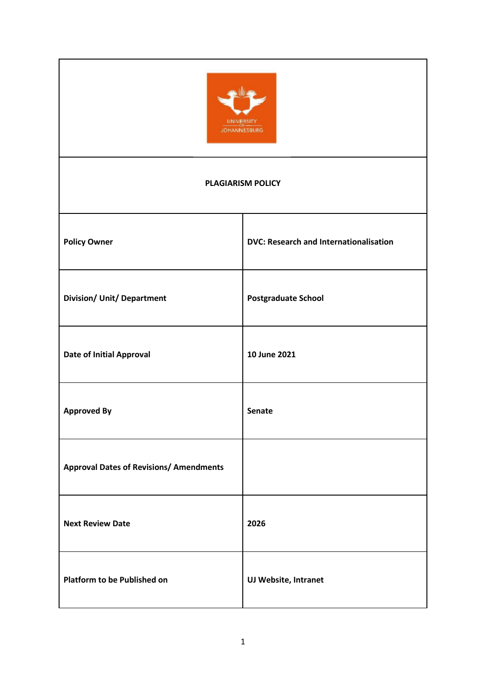

#### **PLAGIARISM POLICY**

| <b>Policy Owner</b>                            | <b>DVC: Research and Internationalisation</b> |
|------------------------------------------------|-----------------------------------------------|
| <b>Division/ Unit/ Department</b>              | <b>Postgraduate School</b>                    |
| <b>Date of Initial Approval</b>                | 10 June 2021                                  |
| <b>Approved By</b>                             | <b>Senate</b>                                 |
| <b>Approval Dates of Revisions/ Amendments</b> |                                               |
| <b>Next Review Date</b>                        | 2026                                          |
| <b>Platform to be Published on</b>             | UJ Website, Intranet                          |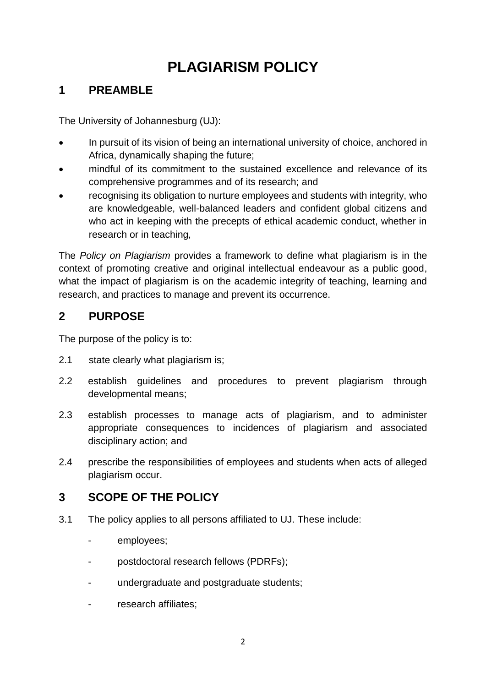# **PLAGIARISM POLICY**

# **1 PREAMBLE**

The University of Johannesburg (UJ):

- In pursuit of its vision of being an international university of choice, anchored in Africa, dynamically shaping the future;
- mindful of its commitment to the sustained excellence and relevance of its comprehensive programmes and of its research; and
- recognising its obligation to nurture employees and students with integrity, who are knowledgeable, well-balanced leaders and confident global citizens and who act in keeping with the precepts of ethical academic conduct, whether in research or in teaching,

The *Policy on Plagiarism* provides a framework to define what plagiarism is in the context of promoting creative and original intellectual endeavour as a public good, what the impact of plagiarism is on the academic integrity of teaching, learning and research, and practices to manage and prevent its occurrence.

# **2 PURPOSE**

The purpose of the policy is to:

- 2.1 state clearly what plagiarism is;
- 2.2 establish guidelines and procedures to prevent plagiarism through developmental means;
- 2.3 establish processes to manage acts of plagiarism, and to administer appropriate consequences to incidences of plagiarism and associated disciplinary action; and
- 2.4 prescribe the responsibilities of employees and students when acts of alleged plagiarism occur.

# **3 SCOPE OF THE POLICY**

- 3.1 The policy applies to all persons affiliated to UJ. These include:
	- employees:
	- postdoctoral research fellows (PDRFs);
	- undergraduate and postgraduate students;
	- research affiliates: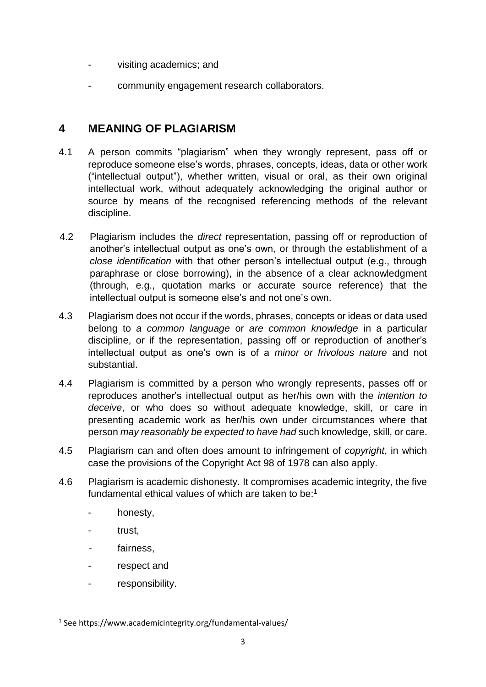- visiting academics; and
- community engagement research collaborators.

### **4 MEANING OF PLAGIARISM**

- 4.1 A person commits "plagiarism" when they wrongly represent, pass off or reproduce someone else's words, phrases, concepts, ideas, data or other work ("intellectual output"), whether written, visual or oral, as their own original intellectual work, without adequately acknowledging the original author or source by means of the recognised referencing methods of the relevant discipline.
- 4.2 Plagiarism includes the *direct* representation, passing off or reproduction of another's intellectual output as one's own, or through the establishment of a *close identification* with that other person's intellectual output (e.g., through paraphrase or close borrowing), in the absence of a clear acknowledgment (through, e.g., quotation marks or accurate source reference) that the intellectual output is someone else's and not one's own.
- 4.3 Plagiarism does not occur if the words, phrases, concepts or ideas or data used belong to *a common language* or *are common knowledge* in a particular discipline, or if the representation, passing off or reproduction of another's intellectual output as one's own is of a *minor or frivolous nature* and not substantial.
- 4.4 Plagiarism is committed by a person who wrongly represents, passes off or reproduces another's intellectual output as her/his own with the *intention to deceive*, or who does so without adequate knowledge, skill, or care in presenting academic work as her/his own under circumstances where that person *may reasonably be expected to have had* such knowledge, skill, or care.
- 4.5 Plagiarism can and often does amount to infringement of *copyright*, in which case the provisions of the Copyright Act 98 of 1978 can also apply.
- 4.6 Plagiarism is academic dishonesty. It compromises academic integrity, the five fundamental ethical values of which are taken to be:<sup>1</sup>
	- honesty,
	- trust.

**.** 

- fairness.
- respect and
- responsibility.

<sup>1</sup> See https://www.academicintegrity.org/fundamental-values/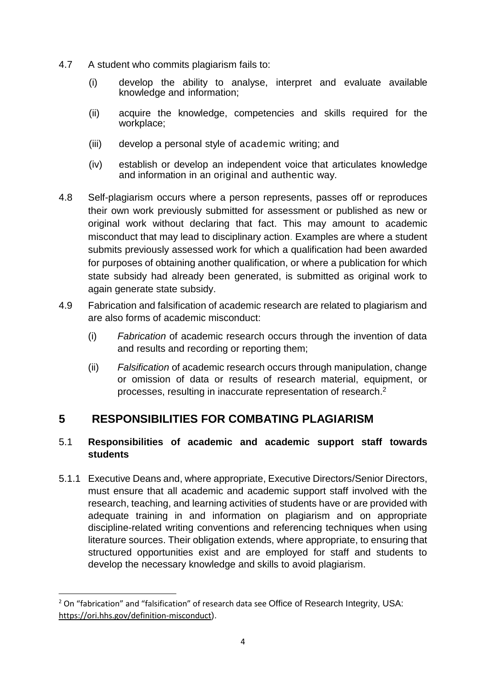- 4.7 A student who commits plagiarism fails to:
	- (i) develop the ability to analyse, interpret and evaluate available knowledge and information;
	- (ii) acquire the knowledge, competencies and skills required for the workplace;
	- (iii) develop a personal style of academic writing; and
	- (iv) establish or develop an independent voice that articulates knowledge and information in an original and authentic way.
- 4.8 Self-plagiarism occurs where a person represents, passes off or reproduces their own work previously submitted for assessment or published as new or original work without declaring that fact. This may amount to academic misconduct that may lead to disciplinary action. Examples are where a student submits previously assessed work for which a qualification had been awarded for purposes of obtaining another qualification, or where a publication for which state subsidy had already been generated, is submitted as original work to again generate state subsidy.
- 4.9 Fabrication and falsification of academic research are related to plagiarism and are also forms of academic misconduct:
	- (i) *Fabrication* of academic research occurs through the invention of data and results and recording or reporting them;
	- (ii) *Falsification* of academic research occurs through manipulation, change or omission of data or results of research material, equipment, or processes, resulting in inaccurate representation of research. 2

### **5 RESPONSIBILITIES FOR COMBATING PLAGIARISM**

### 5.1 **Responsibilities of academic and academic support staff towards students**

5.1.1 Executive Deans and, where appropriate, Executive Directors/Senior Directors, must ensure that all academic and academic support staff involved with the research, teaching, and learning activities of students have or are provided with adequate training in and information on plagiarism and on appropriate discipline-related writing conventions and referencing techniques when using literature sources. Their obligation extends, where appropriate, to ensuring that structured opportunities exist and are employed for staff and students to develop the necessary knowledge and skills to avoid plagiarism.

**.** 

<sup>&</sup>lt;sup>2</sup> On "fabrication" and "falsification" of research data see Office of Research Integrity, USA: <https://ori.hhs.gov/definition-misconduct>).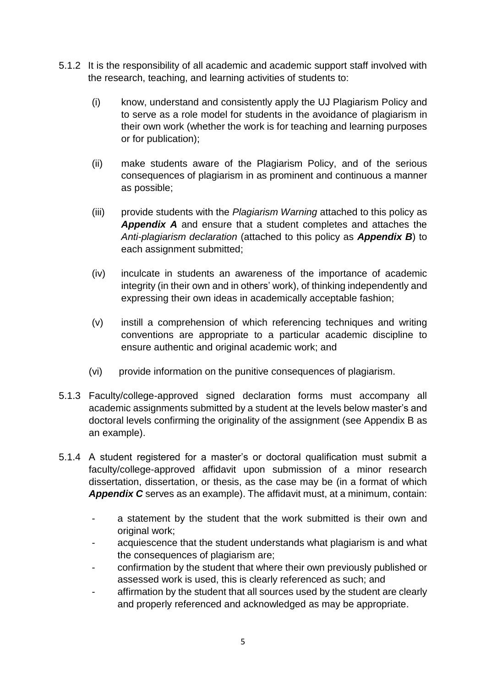- 5.1.2 It is the responsibility of all academic and academic support staff involved with the research, teaching, and learning activities of students to:
	- (i) know, understand and consistently apply the UJ Plagiarism Policy and to serve as a role model for students in the avoidance of plagiarism in their own work (whether the work is for teaching and learning purposes or for publication);
	- (ii) make students aware of the Plagiarism Policy, and of the serious consequences of plagiarism in as prominent and continuous a manner as possible;
	- (iii) provide students with the *Plagiarism Warning* attached to this policy as *Appendix A* and ensure that a student completes and attaches the *Anti-plagiarism declaration* (attached to this policy as *Appendix B*) to each assignment submitted;
	- (iv) inculcate in students an awareness of the importance of academic integrity (in their own and in others' work), of thinking independently and expressing their own ideas in academically acceptable fashion;
	- (v) instill a comprehension of which referencing techniques and writing conventions are appropriate to a particular academic discipline to ensure authentic and original academic work; and
	- (vi) provide information on the punitive consequences of plagiarism.
- 5.1.3 Faculty/college-approved signed declaration forms must accompany all academic assignments submitted by a student at the levels below master's and doctoral levels confirming the originality of the assignment (see Appendix B as an example).
- 5.1.4 A student registered for a master's or doctoral qualification must submit a faculty/college-approved affidavit upon submission of a minor research dissertation, dissertation, or thesis, as the case may be (in a format of which *Appendix C* serves as an example). The affidavit must, at a minimum, contain:
	- a statement by the student that the work submitted is their own and original work;
	- acquiescence that the student understands what plagiarism is and what the consequences of plagiarism are;
	- confirmation by the student that where their own previously published or assessed work is used, this is clearly referenced as such; and
	- affirmation by the student that all sources used by the student are clearly and properly referenced and acknowledged as may be appropriate.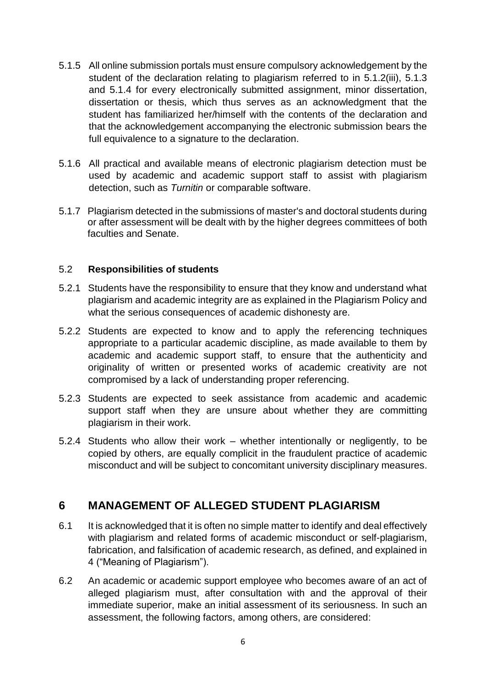- 5.1.5 All online submission portals must ensure compulsory acknowledgement by the student of the declaration relating to plagiarism referred to in 5.1.2(iii), 5.1.3 and 5.1.4 for every electronically submitted assignment, minor dissertation, dissertation or thesis, which thus serves as an acknowledgment that the student has familiarized her/himself with the contents of the declaration and that the acknowledgement accompanying the electronic submission bears the full equivalence to a signature to the declaration.
- 5.1.6 All practical and available means of electronic plagiarism detection must be used by academic and academic support staff to assist with plagiarism detection, such as *Turnitin* or comparable software.
- 5.1.7 Plagiarism detected in the submissions of master's and doctoral students during or after assessment will be dealt with by the higher degrees committees of both faculties and Senate.

#### 5.2 **Responsibilities of students**

- 5.2.1 Students have the responsibility to ensure that they know and understand what plagiarism and academic integrity are as explained in the Plagiarism Policy and what the serious consequences of academic dishonesty are.
- 5.2.2 Students are expected to know and to apply the referencing techniques appropriate to a particular academic discipline, as made available to them by academic and academic support staff, to ensure that the authenticity and originality of written or presented works of academic creativity are not compromised by a lack of understanding proper referencing.
- 5.2.3 Students are expected to seek assistance from academic and academic support staff when they are unsure about whether they are committing plagiarism in their work.
- 5.2.4 Students who allow their work whether intentionally or negligently, to be copied by others, are equally complicit in the fraudulent practice of academic misconduct and will be subject to concomitant university disciplinary measures.

### **6 MANAGEMENT OF ALLEGED STUDENT PLAGIARISM**

- 6.1 It is acknowledged that it is often no simple matter to identify and deal effectively with plagiarism and related forms of academic misconduct or self-plagiarism, fabrication, and falsification of academic research, as defined, and explained in 4 ("Meaning of Plagiarism").
- 6.2 An academic or academic support employee who becomes aware of an act of alleged plagiarism must, after consultation with and the approval of their immediate superior, make an initial assessment of its seriousness. In such an assessment, the following factors, among others, are considered: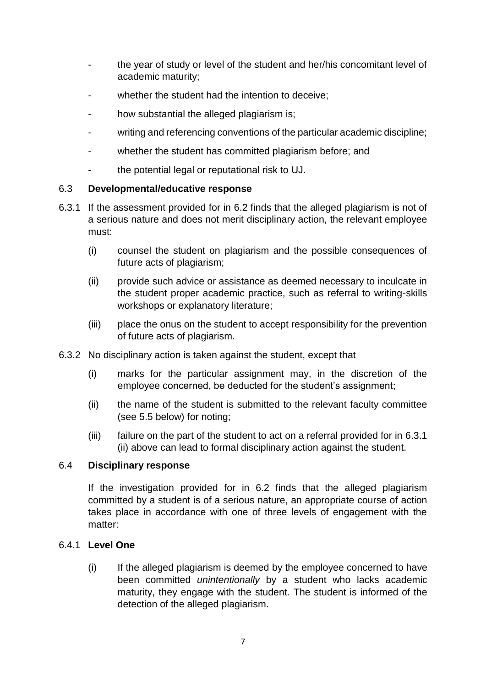- the year of study or level of the student and her/his concomitant level of academic maturity;
- whether the student had the intention to deceive:
- how substantial the alleged plagiarism is;
- writing and referencing conventions of the particular academic discipline;
- whether the student has committed plagiarism before; and
- the potential legal or reputational risk to UJ.

#### 6.3 **Developmental/educative response**

- 6.3.1 If the assessment provided for in 6.2 finds that the alleged plagiarism is not of a serious nature and does not merit disciplinary action, the relevant employee must:
	- (i) counsel the student on plagiarism and the possible consequences of future acts of plagiarism;
	- (ii) provide such advice or assistance as deemed necessary to inculcate in the student proper academic practice, such as referral to writing-skills workshops or explanatory literature;
	- (iii) place the onus on the student to accept responsibility for the prevention of future acts of plagiarism.
- 6.3.2 No disciplinary action is taken against the student, except that
	- (i) marks for the particular assignment may, in the discretion of the employee concerned, be deducted for the student's assignment;
	- (ii) the name of the student is submitted to the relevant faculty committee (see 5.5 below) for noting;
	- (iii) failure on the part of the student to act on a referral provided for in 6.3.1 (ii) above can lead to formal disciplinary action against the student.

#### 6.4 **Disciplinary response**

If the investigation provided for in 6.2 finds that the alleged plagiarism committed by a student is of a serious nature, an appropriate course of action takes place in accordance with one of three levels of engagement with the matter:

#### 6.4.1 **Level One**

(i) If the alleged plagiarism is deemed by the employee concerned to have been committed *unintentionally* by a student who lacks academic maturity, they engage with the student. The student is informed of the detection of the alleged plagiarism.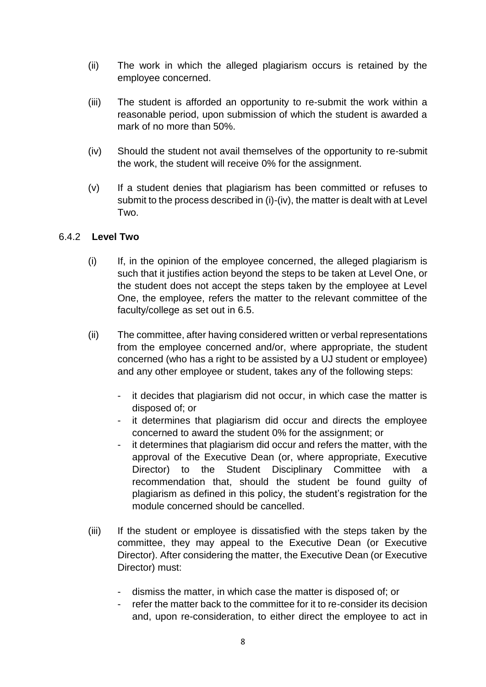- (ii) The work in which the alleged plagiarism occurs is retained by the employee concerned.
- (iii) The student is afforded an opportunity to re-submit the work within a reasonable period, upon submission of which the student is awarded a mark of no more than 50%.
- (iv) Should the student not avail themselves of the opportunity to re-submit the work, the student will receive 0% for the assignment.
- (v) If a student denies that plagiarism has been committed or refuses to submit to the process described in (i)-(iv), the matter is dealt with at Level Two.

#### 6.4.2 **Level Two**

- (i) If, in the opinion of the employee concerned, the alleged plagiarism is such that it justifies action beyond the steps to be taken at Level One, or the student does not accept the steps taken by the employee at Level One, the employee, refers the matter to the relevant committee of the faculty/college as set out in 6.5.
- (ii) The committee, after having considered written or verbal representations from the employee concerned and/or, where appropriate, the student concerned (who has a right to be assisted by a UJ student or employee) and any other employee or student, takes any of the following steps:
	- it decides that plagiarism did not occur, in which case the matter is disposed of; or
	- it determines that plagiarism did occur and directs the employee concerned to award the student 0% for the assignment; or
	- it determines that plagiarism did occur and refers the matter, with the approval of the Executive Dean (or, where appropriate, Executive Director) to the Student Disciplinary Committee with a recommendation that, should the student be found guilty of plagiarism as defined in this policy, the student's registration for the module concerned should be cancelled.
- (iii) If the student or employee is dissatisfied with the steps taken by the committee, they may appeal to the Executive Dean (or Executive Director). After considering the matter, the Executive Dean (or Executive Director) must:
	- dismiss the matter, in which case the matter is disposed of; or
	- refer the matter back to the committee for it to re-consider its decision and, upon re-consideration, to either direct the employee to act in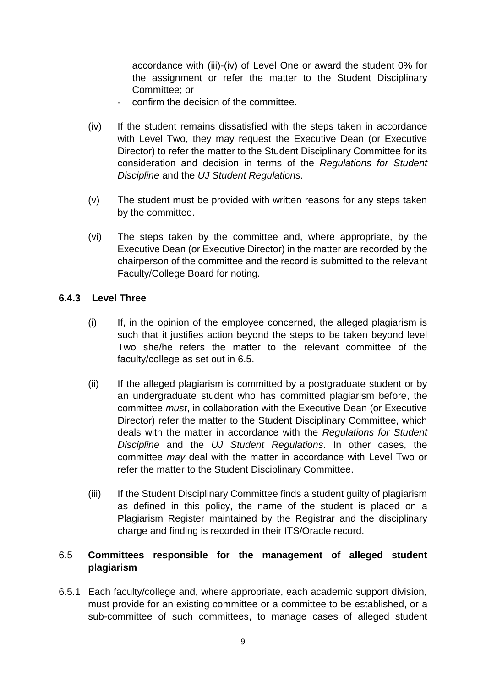accordance with (iii)-(iv) of Level One or award the student 0% for the assignment or refer the matter to the Student Disciplinary Committee; or

- confirm the decision of the committee.
- (iv) If the student remains dissatisfied with the steps taken in accordance with Level Two, they may request the Executive Dean (or Executive Director) to refer the matter to the Student Disciplinary Committee for its consideration and decision in terms of the *Regulations for Student Discipline* and the *UJ Student Regulations*.
- (v) The student must be provided with written reasons for any steps taken by the committee.
- (vi) The steps taken by the committee and, where appropriate, by the Executive Dean (or Executive Director) in the matter are recorded by the chairperson of the committee and the record is submitted to the relevant Faculty/College Board for noting.

#### **6.4.3 Level Three**

- (i) If, in the opinion of the employee concerned, the alleged plagiarism is such that it justifies action beyond the steps to be taken beyond level Two she/he refers the matter to the relevant committee of the faculty/college as set out in 6.5.
- (ii) If the alleged plagiarism is committed by a postgraduate student or by an undergraduate student who has committed plagiarism before, the committee *must*, in collaboration with the Executive Dean (or Executive Director) refer the matter to the Student Disciplinary Committee, which deals with the matter in accordance with the *Regulations for Student Discipline* and the *UJ Student Regulations*. In other cases, the committee *may* deal with the matter in accordance with Level Two or refer the matter to the Student Disciplinary Committee.
- (iii) If the Student Disciplinary Committee finds a student guilty of plagiarism as defined in this policy, the name of the student is placed on a Plagiarism Register maintained by the Registrar and the disciplinary charge and finding is recorded in their ITS/Oracle record.

#### 6.5 **Committees responsible for the management of alleged student plagiarism**

6.5.1 Each faculty/college and, where appropriate, each academic support division, must provide for an existing committee or a committee to be established, or a sub-committee of such committees, to manage cases of alleged student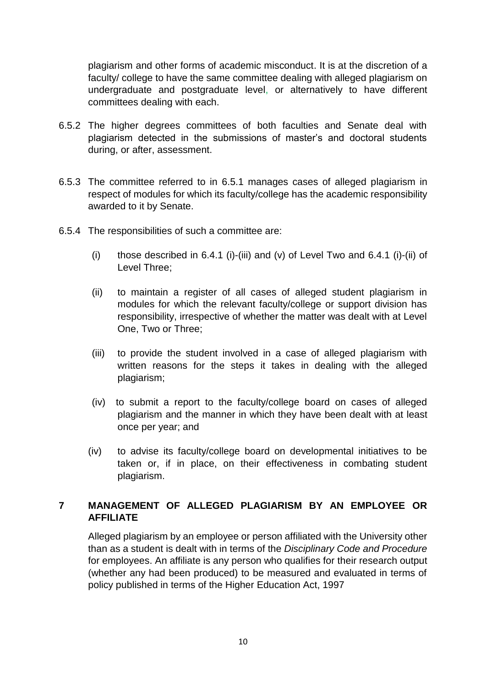plagiarism and other forms of academic misconduct. It is at the discretion of a faculty/ college to have the same committee dealing with alleged plagiarism on undergraduate and postgraduate level, or alternatively to have different committees dealing with each.

- 6.5.2 The higher degrees committees of both faculties and Senate deal with plagiarism detected in the submissions of master's and doctoral students during, or after, assessment.
- 6.5.3 The committee referred to in 6.5.1 manages cases of alleged plagiarism in respect of modules for which its faculty/college has the academic responsibility awarded to it by Senate.
- 6.5.4 The responsibilities of such a committee are:
	- (i) those described in 6.4.1 (i)-(iii) and (v) of Level Two and 6.4.1 (i)-(ii) of Level Three;
	- (ii) to maintain a register of all cases of alleged student plagiarism in modules for which the relevant faculty/college or support division has responsibility, irrespective of whether the matter was dealt with at Level One, Two or Three;
	- (iii) to provide the student involved in a case of alleged plagiarism with written reasons for the steps it takes in dealing with the alleged plagiarism;
	- (iv) to submit a report to the faculty/college board on cases of alleged plagiarism and the manner in which they have been dealt with at least once per year; and
	- (iv) to advise its faculty/college board on developmental initiatives to be taken or, if in place, on their effectiveness in combating student plagiarism.

### **7 MANAGEMENT OF ALLEGED PLAGIARISM BY AN EMPLOYEE OR AFFILIATE**

Alleged plagiarism by an employee or person affiliated with the University other than as a student is dealt with in terms of the *Disciplinary Code and Procedure* for employees. An affiliate is any person who qualifies for their research output (whether any had been produced) to be measured and evaluated in terms of policy published in terms of the Higher Education Act, 1997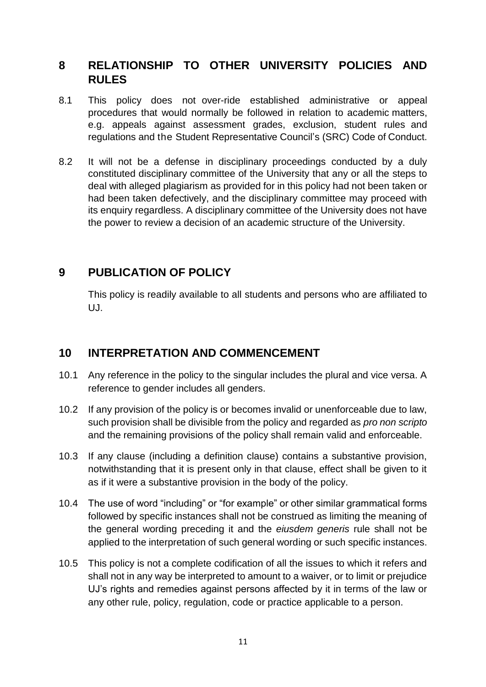### **8 RELATIONSHIP TO OTHER UNIVERSITY POLICIES AND RULES**

- 8.1 This policy does not over-ride established administrative or appeal procedures that would normally be followed in relation to academic matters, e.g. appeals against assessment grades, exclusion, student rules and regulations and the Student Representative Council's (SRC) Code of Conduct.
- 8.2 It will not be a defense in disciplinary proceedings conducted by a duly constituted disciplinary committee of the University that any or all the steps to deal with alleged plagiarism as provided for in this policy had not been taken or had been taken defectively, and the disciplinary committee may proceed with its enquiry regardless. A disciplinary committee of the University does not have the power to review a decision of an academic structure of the University.

### **9 PUBLICATION OF POLICY**

This policy is readily available to all students and persons who are affiliated to UJ.

### **10 INTERPRETATION AND COMMENCEMENT**

- 10.1 Any reference in the policy to the singular includes the plural and vice versa. A reference to gender includes all genders.
- 10.2 If any provision of the policy is or becomes invalid or unenforceable due to law, such provision shall be divisible from the policy and regarded as *pro non scripto* and the remaining provisions of the policy shall remain valid and enforceable.
- 10.3 If any clause (including a definition clause) contains a substantive provision, notwithstanding that it is present only in that clause, effect shall be given to it as if it were a substantive provision in the body of the policy.
- 10.4 The use of word "including" or "for example" or other similar grammatical forms followed by specific instances shall not be construed as limiting the meaning of the general wording preceding it and the *eiusdem generis* rule shall not be applied to the interpretation of such general wording or such specific instances.
- 10.5 This policy is not a complete codification of all the issues to which it refers and shall not in any way be interpreted to amount to a waiver, or to limit or prejudice UJ's rights and remedies against persons affected by it in terms of the law or any other rule, policy, regulation, code or practice applicable to a person.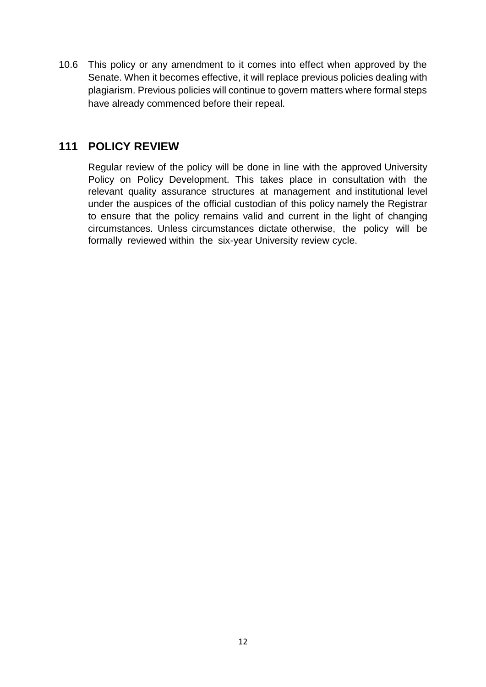10.6 This policy or any amendment to it comes into effect when approved by the Senate. When it becomes effective, it will replace previous policies dealing with plagiarism. Previous policies will continue to govern matters where formal steps have already commenced before their repeal.

### **111 POLICY REVIEW**

Regular review of the policy will be done in line with the approved University Policy on Policy Development. This takes place in consultation with the relevant quality assurance structures at management and institutional level under the auspices of the official custodian of this policy namely the Registrar to ensure that the policy remains valid and current in the light of changing circumstances. Unless circumstances dictate otherwise, the policy will be formally reviewed within the six-year University review cycle.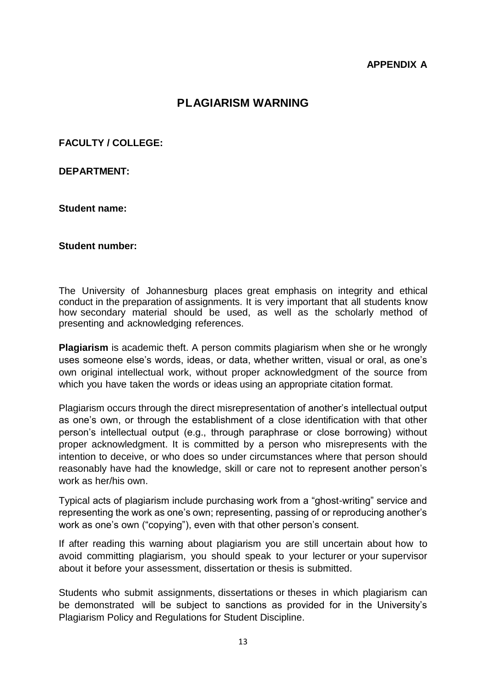#### **APPENDIX A**

### **PLAGIARISM WARNING**

**FACULTY / COLLEGE:**

**DEPARTMENT:**

**Student name:**

**Student number:** 

The University of Johannesburg places great emphasis on integrity and ethical conduct in the preparation of assignments. It is very important that all students know how secondary material should be used, as well as the scholarly method of presenting and acknowledging references.

**Plagiarism** is academic theft. A person commits plagiarism when she or he wrongly uses someone else's words, ideas, or data, whether written, visual or oral, as one's own original intellectual work, without proper acknowledgment of the source from which you have taken the words or ideas using an appropriate citation format.

Plagiarism occurs through the direct misrepresentation of another's intellectual output as one's own, or through the establishment of a close identification with that other person's intellectual output (e.g., through paraphrase or close borrowing) without proper acknowledgment. It is committed by a person who misrepresents with the intention to deceive, or who does so under circumstances where that person should reasonably have had the knowledge, skill or care not to represent another person's work as her/his own.

Typical acts of plagiarism include purchasing work from a "ghost-writing" service and representing the work as one's own; representing, passing of or reproducing another's work as one's own ("copying"), even with that other person's consent.

If after reading this warning about plagiarism you are still uncertain about how to avoid committing plagiarism, you should speak to your lecturer or your supervisor about it before your assessment, dissertation or thesis is submitted.

Students who submit assignments, dissertations or theses in which plagiarism can be demonstrated will be subject to sanctions as provided for in the University's Plagiarism Policy and Regulations for Student Discipline.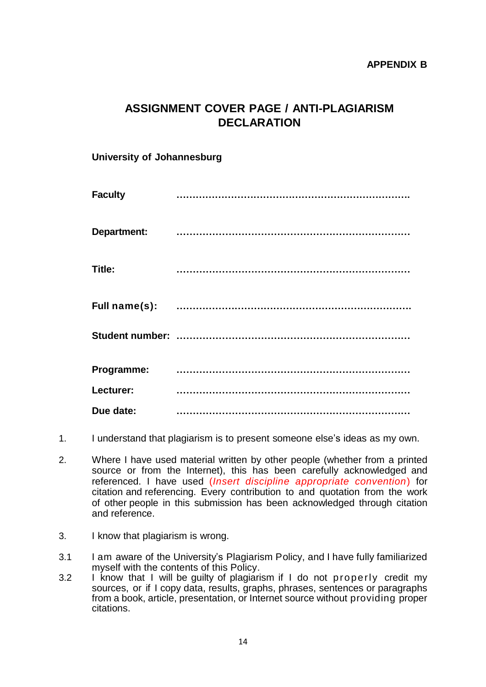## **ASSIGNMENT COVER PAGE / ANTI-PLAGIARISM DECLARATION**

### **University of Johannesburg**

| <b>Faculty</b>     |  |
|--------------------|--|
| <b>Department:</b> |  |
| Title:             |  |
| Full name(s):      |  |
|                    |  |
| Programme:         |  |
| Lecturer:          |  |
| Due date:          |  |

- 1. I understand that plagiarism is to present someone else's ideas as my own.
- 2. Where I have used material written by other people (whether from a printed source or from the Internet), this has been carefully acknowledged and referenced. I have used (*Insert discipline appropriate convention*) for citation and referencing. Every contribution to and quotation from the work of other people in this submission has been acknowledged through citation and reference.
- 3. I know that plagiarism is wrong.
- 3.1 I am aware of the University's Plagiarism Policy, and I have fully familiarized myself with the contents of this Policy.
- 3.2 I know that I will be guilty of plagiarism if I do not properly credit my sources, or if I copy data, results, graphs, phrases, sentences or paragraphs from a book, article, presentation, or Internet source without providing proper citations.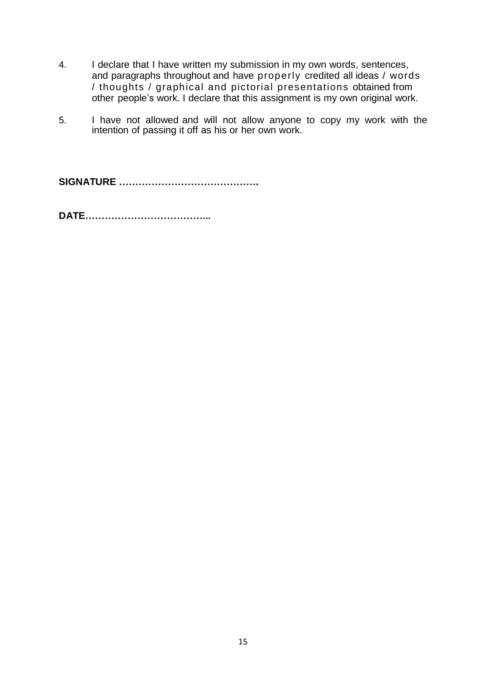- 4. I declare that I have written my submission in my own words, sentences, and paragraphs throughout and have properly credited all ideas / words / thoughts / graphical and pictorial presentations obtained from other people's work. I declare that this assignment is my own original work.
- 5. I have not allowed and will not allow anyone to copy my work with the intention of passing it off as his or her own work.

**SIGNATURE …………………………………….**

**DATE………………………………...**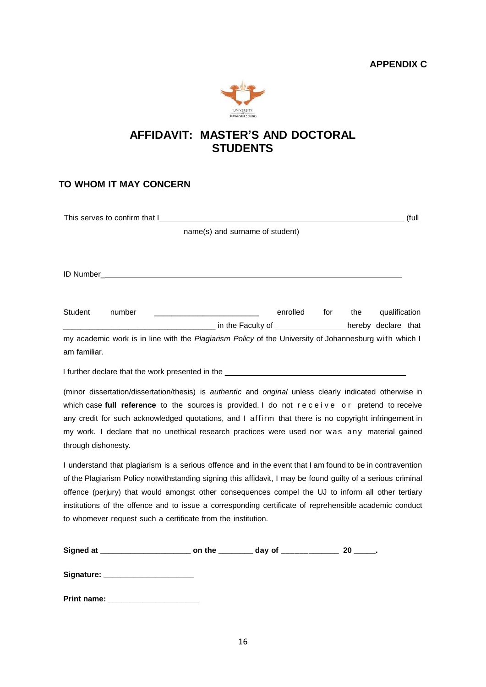

### **AFFIDAVIT: MASTER'S AND DOCTORAL STUDENTS**

#### **TO WHOM IT MAY CONCERN**

|                                                                                                       | This serves to confirm that I <u>example and the serves</u> we have a serve that the serves to confirm that I          |          |     |     | (full         |  |
|-------------------------------------------------------------------------------------------------------|------------------------------------------------------------------------------------------------------------------------|----------|-----|-----|---------------|--|
| name(s) and surname of student)                                                                       |                                                                                                                        |          |     |     |               |  |
|                                                                                                       |                                                                                                                        |          |     |     |               |  |
|                                                                                                       |                                                                                                                        |          |     |     |               |  |
|                                                                                                       |                                                                                                                        |          |     |     |               |  |
|                                                                                                       |                                                                                                                        |          |     |     |               |  |
| Student                                                                                               | number                                                                                                                 | enrolled | for | the | qualification |  |
|                                                                                                       | <b>CONFERENCE ASSESSMENT PROPERTY ASSESSMENT PROPERTY ASSESSMENT PROPERTY ASSESSMENT PROPERTY ARRANGEMENT PROPERTY</b> |          |     |     |               |  |
| my academic work is in line with the Plagiarism Policy of the University of Johannesburg with which I |                                                                                                                        |          |     |     |               |  |
| am familiar.                                                                                          |                                                                                                                        |          |     |     |               |  |
|                                                                                                       |                                                                                                                        |          |     |     |               |  |
|                                                                                                       | (minor dissertation/dissertation/thesis) is authentic and original unless clearly indicated otherwise in               |          |     |     |               |  |

which case full reference to the sources is provided. I do not receive or pretend to receive any credit for such acknowledged quotations, and I affirm that there is no copyright infringement in my work. I declare that no unethical research practices were used nor was any material gained through dishonesty.

I understand that plagiarism is a serious offence and in the event that I am found to be in contravention of the Plagiarism Policy notwithstanding signing this affidavit, I may be found guilty of a serious criminal offence (perjury) that would amongst other consequences compel the UJ to inform all other tertiary institutions of the offence and to issue a corresponding certificate of reprehensible academic conduct to whomever request such a certificate from the institution.

| Signed at  | on the | day of | 20 |
|------------|--------|--------|----|
| Signature: |        |        |    |
|            |        |        |    |

**Print name: \_\_\_\_\_\_\_\_\_\_\_\_\_\_\_\_\_\_\_\_\_**